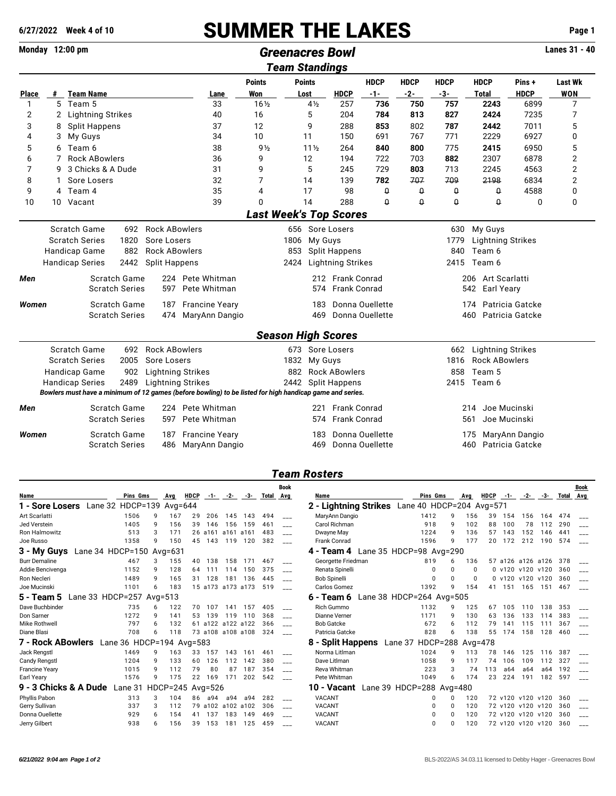## **6/27/2022 Week 4 of 10** SUMMER THE LAKES **Page 1**

**Monday 12:00 pm Lanes 31 - 40**<br> **Greenacres Bowl Computer Constants In the Computer Computer Computer Computer Computer Computer** Computer Computer Computer Computer Computer Computer Computer Computer Computer Comput

| Team Standings |    |                              |                       |                          |                                                                                                          |                               |      |                 |                           |                 |             |                                |                          |                     |                |  |  |
|----------------|----|------------------------------|-----------------------|--------------------------|----------------------------------------------------------------------------------------------------------|-------------------------------|------|-----------------|---------------------------|-----------------|-------------|--------------------------------|--------------------------|---------------------|----------------|--|--|
|                |    |                              |                       |                          |                                                                                                          | <b>Points</b>                 |      | <b>Points</b>   |                           | <b>HDCP</b>     | <b>HDCP</b> | <b>HDCP</b>                    | <b>HDCP</b>              | Pins+               | <b>Last Wk</b> |  |  |
| <b>Place</b>   | #  | <b>Team Name</b>             |                       |                          | Lane                                                                                                     | Won                           |      | Lost            | <b>HDCP</b>               | $-1-$           | $-2-$       | $-3-$                          | <b>Total</b>             | <b>HDCP</b>         | <b>WON</b>     |  |  |
| 1              | 5  | Team 5                       |                       |                          | 33                                                                                                       | $16\frac{1}{2}$               |      | $4\frac{1}{2}$  | 257                       | 736             | 750         | 757                            | 2243                     | 6899                | 7              |  |  |
| 2              | 2  | <b>Lightning Strikes</b>     |                       |                          | 40                                                                                                       | 16                            |      | 5               | 204                       | 784             | 813         | 827                            | 2424                     | 7235                | 7              |  |  |
| 3              | 8  | <b>Split Happens</b>         |                       |                          | 37                                                                                                       | 12                            |      | 9               | 288                       | 853             | 802         | 787                            | 2442                     | 7011                | 5              |  |  |
| 4              | 3  | My Guys                      |                       |                          | 34                                                                                                       | 10                            |      | 11              | 150                       | 691             | 767         | 771                            | 2229                     | 6927                | 0              |  |  |
| 5              | 6. | Team 6                       |                       |                          | 38                                                                                                       | $9\frac{1}{2}$                |      | $11\frac{1}{2}$ | 264                       | 840             | 800         | 775                            | 2415                     | 6950                | 5              |  |  |
| 6              | 7  | <b>Rock ABowlers</b>         |                       |                          | 36                                                                                                       | 9                             |      | 12              | 194                       | 722             | 703         | 882                            | 2307                     | 6878                | 2              |  |  |
| 7              | 9  | 3 Chicks & A Dude            |                       |                          | 31                                                                                                       | 9                             |      | 5               | 245                       | 729             | 803         | 713                            | 2245                     | 4563                | 2              |  |  |
| 8              |    | Sore Losers                  |                       |                          | 32                                                                                                       | 7                             |      | 14              | 139                       | 782             | 707         | 709                            | 2198                     | 6834                | 2              |  |  |
| 9              | 4  | Team 4                       |                       |                          | 35                                                                                                       | 4                             |      | 17              | 98                        | $\theta$        | $\theta$    | $\boldsymbol{\mathsf{\theta}}$ | $\theta$                 | 4588                | 0              |  |  |
| 10             |    | 10 Vacant                    |                       |                          | 39                                                                                                       | 0                             |      | 14              | 288                       | $\theta$        | $\theta$    | $\theta$                       | $\theta$                 | 0                   | 0              |  |  |
|                |    |                              |                       |                          |                                                                                                          | <b>Last Week's Top Scores</b> |      |                 |                           |                 |             |                                |                          |                     |                |  |  |
|                |    | Scratch Game                 | 692                   | <b>Rock ABowlers</b>     |                                                                                                          |                               |      |                 | 656 Sore Losers           |                 |             | 630                            | My Guys                  |                     |                |  |  |
|                |    | <b>Scratch Series</b>        | 1820                  | Sore Losers              |                                                                                                          |                               | 1806 | My Guys         |                           |                 |             | 1779                           | <b>Lightning Strikes</b> |                     |                |  |  |
|                |    | Handicap Game                | 882                   | <b>Rock ABowlers</b>     |                                                                                                          |                               | 853  |                 | <b>Split Happens</b>      |                 |             | 840                            | Team 6                   |                     |                |  |  |
|                |    | <b>Handicap Series</b>       | 2442                  | <b>Split Happens</b>     |                                                                                                          |                               | 2424 |                 | <b>Lightning Strikes</b>  |                 |             |                                | 2415 Team 6              |                     |                |  |  |
| Men            |    |                              | Scratch Game          |                          | 224 Pete Whitman                                                                                         |                               |      |                 | 212 Frank Conrad          |                 |             |                                | 206 Art Scarlatti        |                     |                |  |  |
|                |    |                              | <b>Scratch Series</b> | 597                      | Pete Whitman                                                                                             |                               |      |                 | 574 Frank Conrad          |                 |             |                                | 542<br>Earl Yeary        |                     |                |  |  |
| Women          |    |                              | <b>Scratch Game</b>   | 187                      | <b>Francine Yeary</b>                                                                                    |                               |      | 183             |                           | Donna Quellette |             |                                | 174                      | Patricia Gatcke     |                |  |  |
|                |    | <b>Scratch Series</b><br>474 |                       |                          | MaryAnn Dangio                                                                                           | Donna Ouellette<br>469        |      |                 |                           |                 |             |                                |                          | 460 Patricia Gatcke |                |  |  |
|                |    |                              |                       |                          |                                                                                                          |                               |      |                 | <b>Season High Scores</b> |                 |             |                                |                          |                     |                |  |  |
|                |    | Scratch Game                 | 692                   | <b>Rock ABowlers</b>     |                                                                                                          |                               |      |                 | 673 Sore Losers           |                 |             | 662                            | <b>Lightning Strikes</b> |                     |                |  |  |
|                |    | <b>Scratch Series</b>        | 2005                  | Sore Losers              |                                                                                                          |                               | 1832 | My Guys         |                           |                 |             | 1816                           | <b>Rock ABowlers</b>     |                     |                |  |  |
|                |    | Handicap Game                | 902                   | <b>Lightning Strikes</b> |                                                                                                          |                               |      |                 | 882 Rock ABowlers         |                 |             | 858                            | Team 5                   |                     |                |  |  |
|                |    | <b>Handicap Series</b>       | 2489                  | <b>Lightning Strikes</b> |                                                                                                          |                               |      |                 | 2442 Split Happens        |                 |             |                                | 2415 Team 6              |                     |                |  |  |
|                |    |                              |                       |                          | Bowlers must have a minimum of 12 games (before bowling) to be listed for high handicap game and series. |                               |      |                 |                           |                 |             |                                |                          |                     |                |  |  |
|                |    |                              |                       |                          |                                                                                                          |                               |      |                 |                           |                 |             |                                |                          |                     |                |  |  |
| Men            |    |                              | Scratch Game          |                          | 224 Pete Whitman                                                                                         |                               |      | 221             | Frank Conrad              |                 |             |                                | 214                      | Joe Mucinski        |                |  |  |
|                |    |                              | <b>Scratch Series</b> | 597                      | Pete Whitman                                                                                             |                               |      | 574             | <b>Frank Conrad</b>       |                 |             |                                | 561                      | Joe Mucinski        |                |  |  |
| Women          |    |                              | Scratch Game          | 187                      | <b>Francine Yeary</b>                                                                                    |                               |      | 183             |                           | Donna Ouellette |             |                                | 175                      | MaryAnn Dangio      |                |  |  |
|                |    |                              | <b>Scratch Series</b> | 486                      | MaryAnn Dangio                                                                                           |                               |      | 469             |                           | Donna Ouellette |             |                                | 460                      | Patricia Gatcke     |                |  |  |

## *Team Rosters*

|                                 |                          |            |                  |             |         |                   |     |       | <b>Book</b> |                                          |                          |          |          |             |         |                   |      |       | Book |
|---------------------------------|--------------------------|------------|------------------|-------------|---------|-------------------|-----|-------|-------------|------------------------------------------|--------------------------|----------|----------|-------------|---------|-------------------|------|-------|------|
| Name                            | Pins Gms                 |            | Avg              | <b>HDCP</b> | $-1-$   | -2-               | -3- | Total | Avg         | Name                                     | Pins Gms                 |          | Avg      | <b>HDCP</b> | $-1-$   | -2-               | -3-  | Total | Avg  |
| Lane 32<br>1 - Sore Losers      | HDCP=139                 |            | Avg= $644$       |             |         |                   |     |       |             | 2 - Lightning Strikes                    | Lane 40 HDCP=204 Avg=571 |          |          |             |         |                   |      |       |      |
| Art Scarlatti                   | 1506                     | o          | 167              | 29          | 206     | 145               | 143 | 494   |             | MaryAnn Dangio                           | 1412                     |          | 156      | 39          | 154     | 156               | 164  | 474   |      |
| Jed Verstein                    | 1405                     | 9          | 156              | 39          | 146     | 156               | 159 | 461   |             | Carol Richman                            | 918                      | 9        | 102      | 88          | 100     | 78                | 112  | 290   |      |
| Ron Halmowitz                   | 513                      |            | 171              |             | 26 a161 | a161 a161         |     | 483   |             | Dwayne May                               | 1224                     | q        | 136      | 57          | 143     | 152               | 146  | 441   |      |
| Joe Russo                       | 1358                     | q          | 150              | 45          | 143     | 119               | 120 | 382   |             | Frank Conrad                             | 1596                     | q        | 177      | 20          | 172     | 212               | 190  | 574   |      |
| Lane 34 HDCP=150<br>3 - My Guys |                          |            | Avg= $631$       |             |         |                   |     |       |             | Lane 35 HDCP=98 Avg=290<br>4 - Team 4    |                          |          |          |             |         |                   |      |       |      |
| <b>Burr Demaline</b>            | 467                      |            | 155              | 40          | 138     | 158               | 171 | 467   |             | Georgette Friedman                       | 819                      | 6        | 136      | 57          | a126    | a126              | a126 | 378   |      |
| Addie Bencivenga                | 1152                     | 9          | 128              | 64          | 111     | 114               | 150 | 375   |             | Renata Spinelli                          | 0                        | $\Omega$ | $\Omega$ |             |         | 0 v120 v120 v120  |      | 360   |      |
| Ron Necleri                     | 1489                     | q          | 165              | 31          | 128     | 181               | 136 | 445   |             | <b>Bob Spinelli</b>                      | 0                        |          | $\Omega$ |             | 0 v120  | v120              | v120 | 360   |      |
| Joe Mucinski                    | 1101                     | 6          | 183              |             |         | 15 a173 a173 a173 |     | 519   |             | Carlos Gomez                             | 1392                     | q        | 154      | 41          | 151     | 165               | 151  | 467   |      |
| Lane 33 HDCP=257<br>5 - Team 5  |                          | Avg= $513$ |                  |             |         |                   |     |       |             | Lane 38 HDCP=264 Avg=505<br>$6 - Team 6$ |                          |          |          |             |         |                   |      |       |      |
| Dave Buchbinder                 | 735                      |            | 122              | 70          | 107     | 141               | 157 | 405   |             | <b>Rich Gummo</b>                        | 1132                     |          | 125      | 67          | 105     | 110               | 138  | 353   |      |
| Don Sarner                      | 1272                     | q          | 141              | 53          | 139     | 119               | 110 | 368   |             | Dianne Verner                            | 1171                     | q        | 130      | 63          | 136     | 133               | 114  | 383   |      |
| Mike Rothwell                   | 797                      | 6          | 132              |             | 61 a122 | a122 a122         |     | 366   |             | <b>Bob Gatcke</b>                        | 672                      | 6        | 112      | 79          | 141     | 115               | 111  | 367   |      |
| Diane Blasi                     | 708                      |            | 118              |             |         | 73 a108 a108 a108 |     | 324   |             | Patricia Gatcke                          | 828                      | 6        | 138      | 55          | 174     | 158               | 128  | 460   |      |
| 7 - Rock ABowlers               | Lane 36 HDCP=194 Avg=583 |            |                  |             |         |                   |     |       |             | 8 - Split Happens<br>Lane 37             | HDCP=288                 |          | Avg=478  |             |         |                   |      |       |      |
| Jack Rengstl                    | 1469                     |            | 163              | 33          | 157     | 143               | 161 | 461   |             | Norma Litlman                            | 1024                     |          | 113      | 78          | 146     | 125               | 116  | 387   |      |
| Candy Rengstl                   | 1204                     | 9          | 133              | 60          | 126     | 112               | 142 | 380   |             | Dave Litlman                             | 1058                     | 9        | 117      | 74          | 106     | 109               | 112  | 327   |      |
| <b>Francine Yeary</b>           | 1015                     | q          | 112              | 79          | 80      | 87                | 187 | 354   |             | Reva Whitman                             | 223                      | 3        | 74       | 113         | a64     | a64               | a64  | 192   |      |
| Earl Yeary                      | 1576                     | q          | 175              | 22          | 169     | 171               | 202 | 542   |             | Pete Whitman                             | 1049                     | 6        | 174      | 23          | 224     | 191               | 182  | 597   |      |
| 9 - 3 Chicks & A Dude           | Lane 31                  |            | HDCP=245 Avg=526 |             |         |                   |     |       |             | 10 - Vacant<br>Lane 39 HDCP=288 Avg=480  |                          |          |          |             |         |                   |      |       |      |
| Phyllis Pabon                   | 313                      |            | 104              | 86          | a94     | a94               | a94 | 282   |             | VACANT                                   |                          |          | 120      |             | 72 v120 | v120              | v120 | 360   |      |
| Gerry Sullivan                  | 337                      |            | 112              |             | 79 a102 | a102 a102         |     | 306   | ---         | <b>VACANT</b>                            | 0                        | 0        | 120      |             |         | 72 v120 v120 v120 |      | 360   |      |
| Donna Ouellette                 | 929                      | 6          | 154              | 41          | 137     | 183               | 149 | 469   |             | VACANT                                   | 0                        | $\Omega$ | 120      |             | 72 v120 | v120 v120         |      | 360   |      |
| Jerry Gilbert                   | 938                      |            | 156              | 39          | 153     | 181               | 125 | 459   |             | <b>VACANT</b>                            | n                        |          | 120      |             |         | 72 v120 v120 v120 |      | 360   |      |